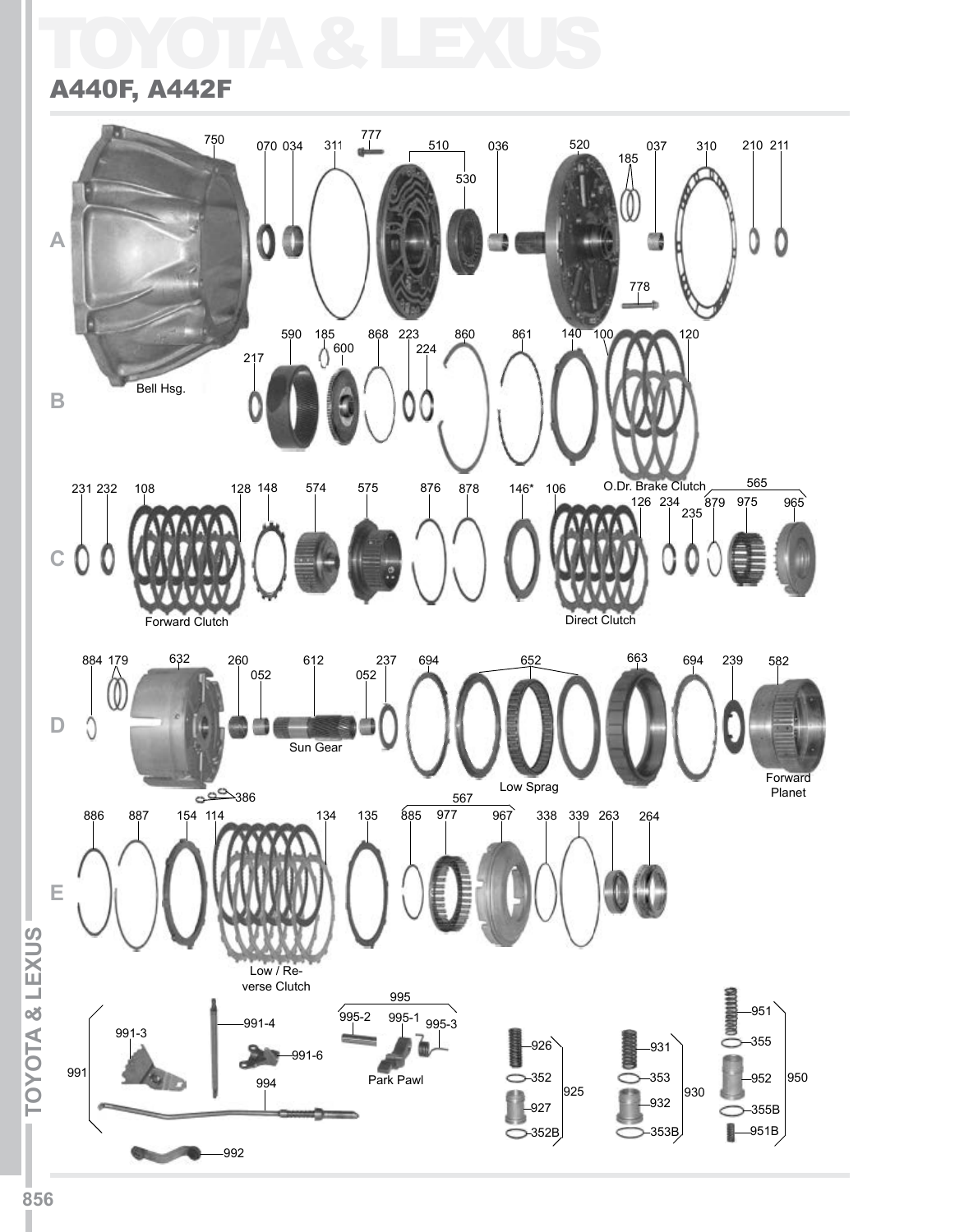## TOYOTA & LEXUS



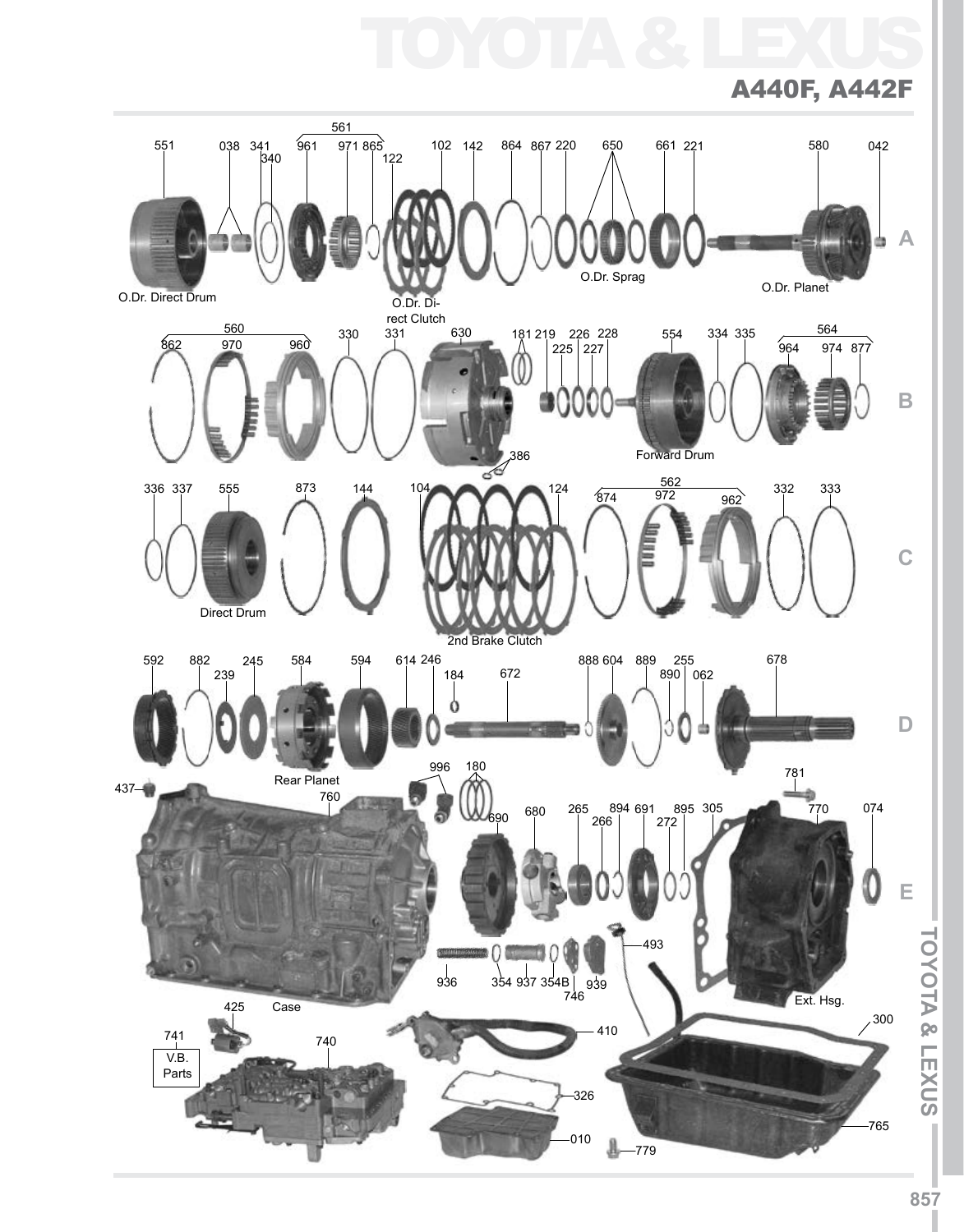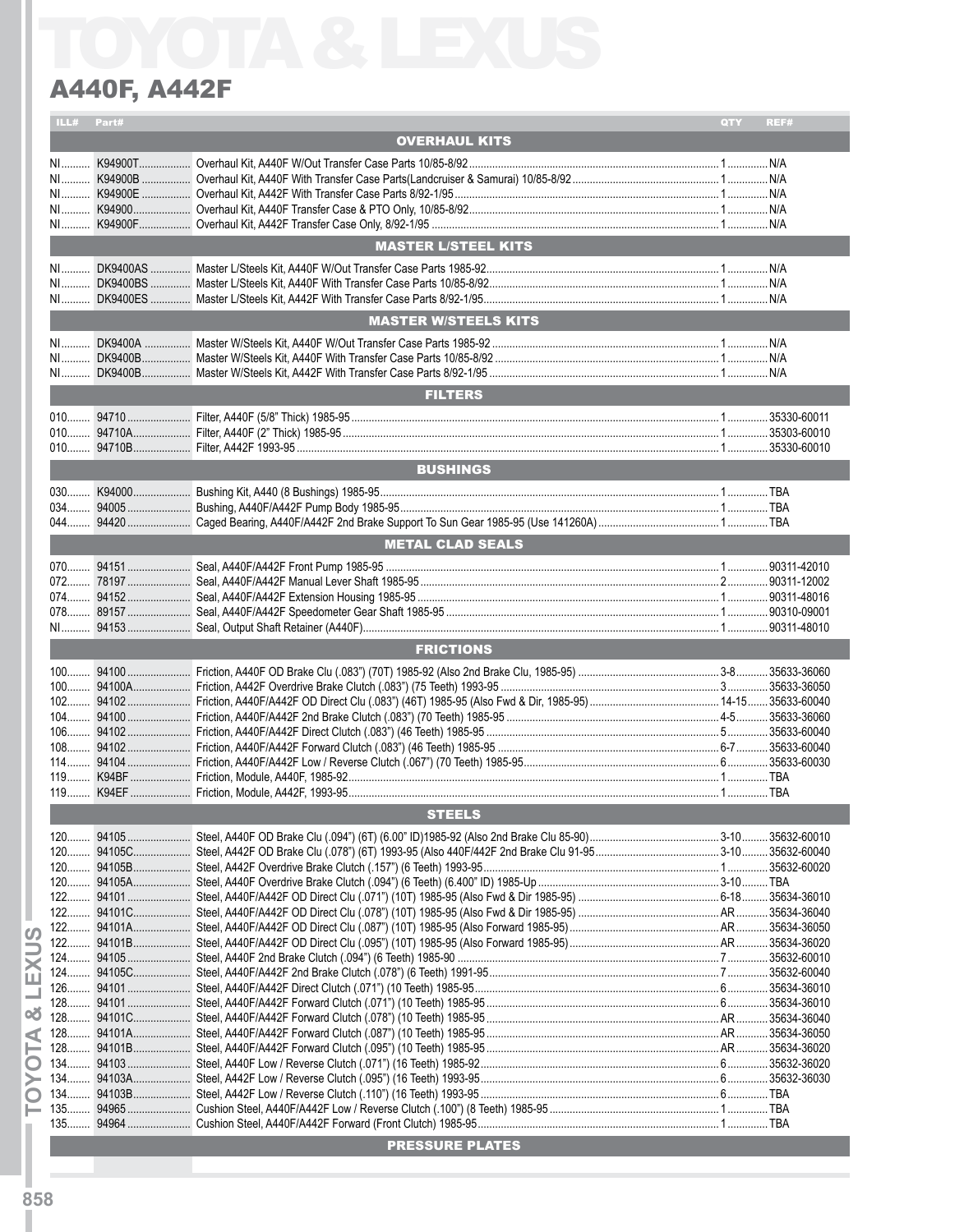### ILL# Part# QTY REF# OVERHAUL KITS NI.......... K94900T.................. Overhaul Kit, A440F W/Out Transfer Case Parts 10/85-8/92....................................................................................... 1..............N/A NI.......... K94900B ................. Overhaul Kit, A440F With Transfer Case Parts(Landcruiser & Samurai) 10/85-8/92................................................... 1..............N/A NI.......... K94900E ................. Overhaul Kit, A442F With Transfer Case Parts 8/92-1/95............................................................................................ 1..............N/A NI.......... K94900.................... Overhaul Kit, A440F Transfer Case & PTO Only, 10/85-8/92....................................................................................... 1..............N/A NI.......... K94900F.................. Overhaul Kit, A442F Transfer Case Only, 8/92-1/95 .................................................................................................... 1..............N/A MASTER L/STEEL KITS NI.......... DK9400AS .............. Master L/Steels Kit, A440F W/Out Transfer Case Parts 1985-92................................................................................. 1..............N/A NI.......... DK9400BS .............. Master L/Steels Kit, A440F With Transfer Case Parts 10/85-8/92................................................................................ 1..............N/A NI.......... DK9400ES .............. Master L/Steels Kit, A442F With Transfer Case Parts 8/92-1/95.................................................................................. 1..............N/A MASTER W/STEELS KITS NI.......... DK9400A ................ Master W/Steels Kit, A440F W/Out Transfer Case Parts 1985-92 ............................................................................... 1..............N/A NI.......... DK9400B................. Master W/Steels Kit, A440F With Transfer Case Parts 10/85-8/92 .............................................................................. 1..............N/A NI.......... DK9400B................. Master W/Steels Kit, A442F With Transfer Case Parts 8/92-1/95 ................................................................................ 1..............N/A **FILTERS** 010........ 94710 ...................... Filter, A440F (5/8" Thick) 1985-95 ................................................................................................................................ 1.............. 35330-60011 010........ 94710A.................... Filter, A440F (2" Thick) 1985-95 ................................................................................................................................... 1.............. 35303-60010 010........ 94710B.................... Filter, A442F 1993-95 ................................................................................................................................................... 1.............. 35330-60010 **BUSHINGS BUSHINGS** 030........ K94000.................... Bushing Kit, A440 (8 Bushings) 1985-95...................................................................................................................... 1..............TBA 034........ 94005 ...................... Bushing, A440F/A442F Pump Body 1985-95............................................................................................................... 1..............TBA 044........ 94420 ...................... Caged Bearing, A440F/A442F 2nd Brake Support To Sun Gear 1985-95 (Use 141260A).......................................... 1..............TBA METAL CLAD SEALS 070........ 94151 ...................... Seal, A440F/A442F Front Pump 1985-95 .................................................................................................................... 1.............. 90311-42010 072........ 78197 ...................... Seal, A440F/A442F Manual Lever Shaft 1985-95........................................................................................................ 2.............. 90311-12002 074........ 94152 ...................... Seal, A440F/A442F Extension Housing 1985-95 ......................................................................................................... 1.............. 90311-48016 078........ 89157 ...................... Seal, A440F/A442F Speedometer Gear Shaft 1985-95 ............................................................................................... 1.............. 90310-09001 NI.......... 94153 ...................... Seal, Output Shaft Retainer (A440F)............................................................................................................................ 1.............. 90311-48010 **FRICTIONS** 100........ 94100 ...................... Friction, A440F OD Brake Clu (.083") (70T) 1985-92 (Also 2nd Brake Clu, 1985-95) ................................................. 3-8........... 35633-36060 100........ 94100A.................... Friction, A442F Overdrive Brake Clutch (.083") (75 Teeth) 1993-95 ............................................................................ 3.............. 35633-36050 102........ 94102 ...................... Friction, A440F/A442F OD Direct Clu (.083") (46T) 1985-95 (Also Fwd & Dir, 1985-95)............................................. 14-15....... 35633-60040 104........ 94100 ...................... Friction, A440F/A442F 2nd Brake Clutch (.083") (70 Teeth) 1985-95 .......................................................................... 4-5........... 35633-36060 106........ 94102 ...................... Friction, A440F/A442F Direct Clutch (.083") (46 Teeth) 1985-95 ................................................................................. 5.............. 35633-60040 108........ 94102 ...................... Friction, A440F/A442F Forward Clutch (.083") (46 Teeth) 1985-95 ............................................................................. 6-7........... 35633-60040 114........ 94104 ...................... Friction, A440F/A442F Low / Reverse Clutch (.067") (70 Teeth) 1985-95.................................................................... 6.............. 35633-60030 119........ K94BF ..................... Friction, Module, A440F, 1985-92................................................................................................................................. 1..............TBA 119........ K94EF ..................... Friction, Module, A442F, 1993-95................................................................................................................................. 1..............TBA **STEELS** 120........ 94105 ...................... Steel, A440F OD Brake Clu (.094") (6T) (6.00" ID)1985-92 (Also 2nd Brake Clu 85-90)............................................. 3-10......... 35632-60010 120........ 94105C.................... Steel, A442F OD Brake Clu (.078") (6T) 1993-95 (Also 440F/442F 2nd Brake Clu 91-95........................................... 3-10......... 35632-60040 120........ 94105B.................... Steel, A442F Overdrive Brake Clutch (.157") (6 Teeth) 1993-95.................................................................................. 1.............. 35632-60020 120........ 94105A.................... Steel, A440F Overdrive Brake Clutch (.094") (6 Teeth) (6.400" ID) 1985-Up ............................................................... 3-10.........TBA 122........ 94101 ...................... Steel, A440F/A442F OD Direct Clu (.071") (10T) 1985-95 (Also Fwd & Dir 1985-95) ................................................. 6-18......... 35634-36010 122........ 94101C.................... Steel, A440F/A442F OD Direct Clu (.078") (10T) 1985-95 (Also Fwd & Dir 1985-95) .................................................AR........... 35634-36040 122........ 94101A.................... Steel, A440F/A442F OD Direct Clu (.087") (10T) 1985-95 (Also Forward 1985-95)....................................................AR........... 35634-36050 122........ 94101B.................... Steel, A440F/A442F OD Direct Clu (.095") (10T) 1985-95 (Also Forward 1985-95)....................................................AR........... 35634-36020 124........ 94105 ...................... Steel, A440F 2nd Brake Clutch (.094") (6 Teeth) 1985-90 ........................................................................................... 7.............. 35632-60010 124........ 94105C.................... Steel, A440F/A442F 2nd Brake Clutch (.078") (6 Teeth) 1991-95................................................................................ 7.............. 35632-60040 126........ 94101 ...................... Steel, A440F/A442F Direct Clutch (.071") (10 Teeth) 1985-95..................................................................................... 6.............. 35634-36010 128........ 94101 ...................... Steel, A440F/A442F Forward Clutch (.071") (10 Teeth) 1985-95 ................................................................................. 6.............. 35634-36010 128........ 94101C.................... Steel, A440F/A442F Forward Clutch (.078") (10 Teeth) 1985-95 .................................................................................AR........... 35634-36040 128........ 94101A.................... Steel, A440F/A442F Forward Clutch (.087") (10 Teeth) 1985-95 .................................................................................AR........... 35634-36050 128........ 94101B.................... Steel, A440F/A442F Forward Clutch (.095") (10 Teeth) 1985-95 .................................................................................AR........... 35634-36020 134........ 94103 ...................... Steel, A440F Low / Reverse Clutch (.071") (16 Teeth) 1985-92................................................................................... 6.............. 35632-36020 134........ 94103A.................... Steel, A442F Low / Reverse Clutch (.095") (16 Teeth) 1993-95................................................................................... 6.............. 35632-36030 134........ 94103B.................... Steel, A442F Low / Reverse Clutch (.110") (16 Teeth) 1993-95 ................................................................................... 6..............TBA 135........ 94965 ...................... Cushion Steel, A440F/A442F Low / Reverse Clutch (.100") (8 Teeth) 1985-95 ........................................................... 1..............TBA 135........ 94964 ...................... Cushion Steel, A440F/A442F Forward (Front Clutch) 1985-95.................................................................................... 1..............TBA PRESSURE PLATES **ITO A CONTRACT CONFIRMATION** CONTRACT CONTRACT CONTRACT CONTRACT CONTRACT CONTRACT CONTRACT CONTRACT CONTRACT CONTRACT CONTRACT CONTRACT CONTRACT CONTRACT CONTRACT CONTRACT CONTRACT CONTRACT CONTRACT CONTRACT CONTRACT CO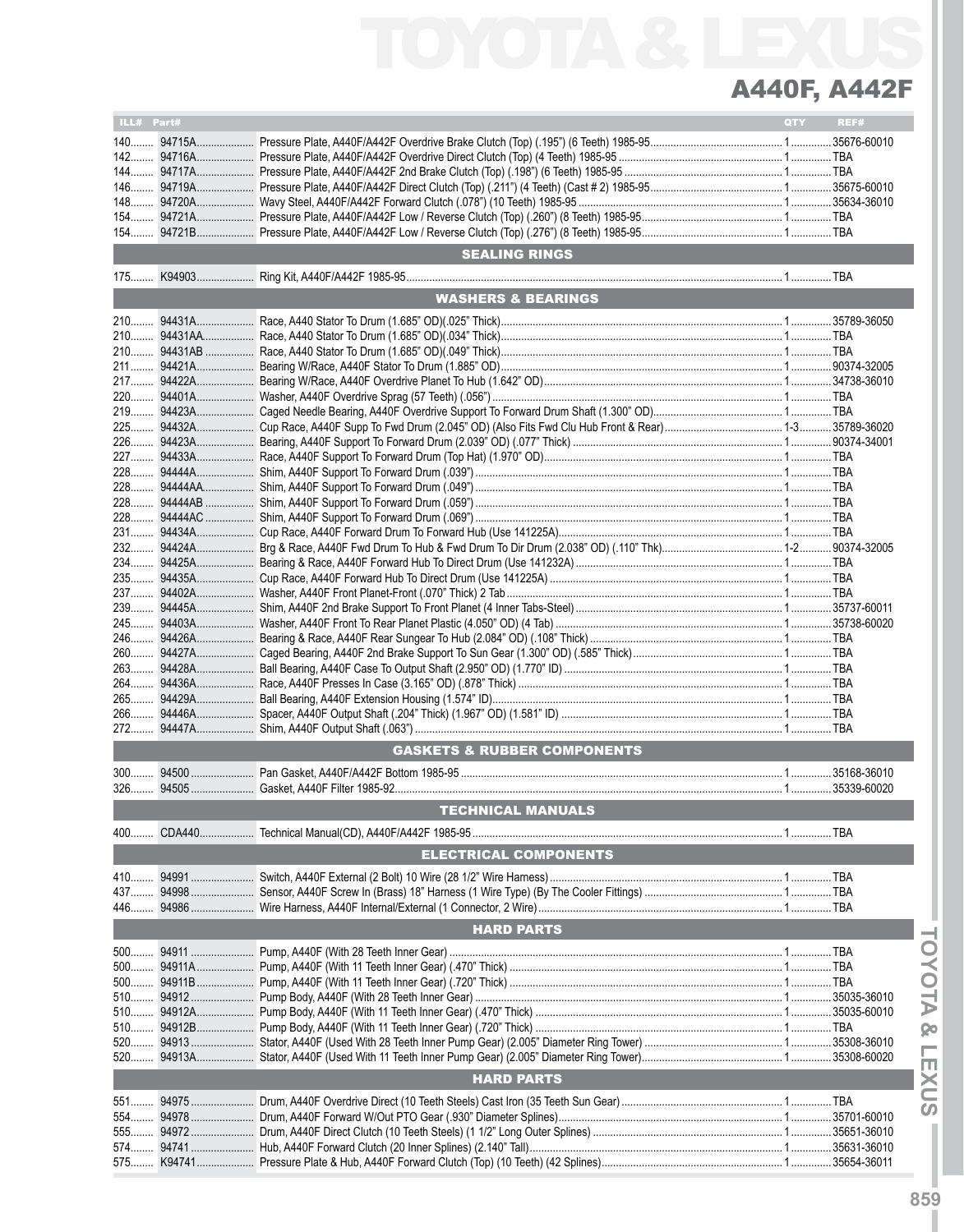| ILL# Part# |             |                                        | <b>QTY</b> | REF#        |
|------------|-------------|----------------------------------------|------------|-------------|
|            |             |                                        |            |             |
|            |             |                                        |            |             |
|            |             |                                        |            |             |
|            |             |                                        |            |             |
|            |             |                                        |            |             |
|            |             |                                        |            |             |
|            |             |                                        |            |             |
|            |             |                                        |            |             |
|            |             |                                        |            |             |
|            |             | <b>SEALING RINGS</b>                   |            |             |
|            |             |                                        |            |             |
|            |             | <b>WASHERS &amp; BEARINGS</b>          |            |             |
|            |             |                                        |            |             |
|            |             |                                        |            |             |
|            |             |                                        |            |             |
|            | 210 94431AB |                                        |            |             |
|            | 211 94421A  |                                        |            |             |
|            |             |                                        |            |             |
|            |             |                                        |            |             |
|            | 219 94423A  |                                        |            |             |
|            |             |                                        |            |             |
| 226        | 94423A      |                                        |            |             |
| 227        |             |                                        |            |             |
|            |             |                                        |            |             |
|            |             |                                        |            |             |
|            | 228 94444AB |                                        |            |             |
|            | 228 94444AC |                                        |            |             |
|            |             |                                        |            |             |
|            |             |                                        |            |             |
|            |             |                                        |            |             |
|            |             |                                        |            |             |
| 237        | 94402A      |                                        |            |             |
| 239        |             |                                        |            |             |
|            |             |                                        |            |             |
|            |             |                                        |            |             |
|            |             |                                        |            |             |
| 263        |             |                                        |            |             |
| 264        |             |                                        |            |             |
|            |             |                                        |            |             |
| 266        |             |                                        |            |             |
| $272$      |             |                                        |            |             |
|            |             |                                        |            |             |
|            |             | <b>GASKETS &amp; RUBBER COMPONENTS</b> |            |             |
| $300$      |             |                                        |            |             |
| $326$      |             |                                        |            |             |
|            |             | <b>TECHNICAL MANUALS</b>               |            |             |
|            |             |                                        |            |             |
| 400        |             |                                        |            |             |
|            |             | <b>ELECTRICAL COMPONENTS</b>           |            |             |
|            |             |                                        |            |             |
| 410        |             |                                        |            |             |
|            |             |                                        |            |             |
|            |             |                                        |            |             |
|            |             | <b>HARD PARTS</b>                      |            |             |
|            |             |                                        |            |             |
|            |             |                                        |            |             |
|            |             |                                        |            |             |
|            |             |                                        |            |             |
|            |             |                                        |            |             |
| 510        |             |                                        |            |             |
| 510        |             |                                        |            |             |
|            |             |                                        |            |             |
|            |             |                                        |            |             |
|            |             | <b>HARD PARTS</b>                      |            |             |
|            |             |                                        |            |             |
|            |             |                                        |            |             |
| 554        |             |                                        |            | 35701-60010 |
| $555$      | 94972       |                                        |            |             |
|            |             |                                        |            | 35631-36010 |
| 575        |             |                                        |            |             |

**TOYOTA & LEXUS ITOYOTA & LEXUSI**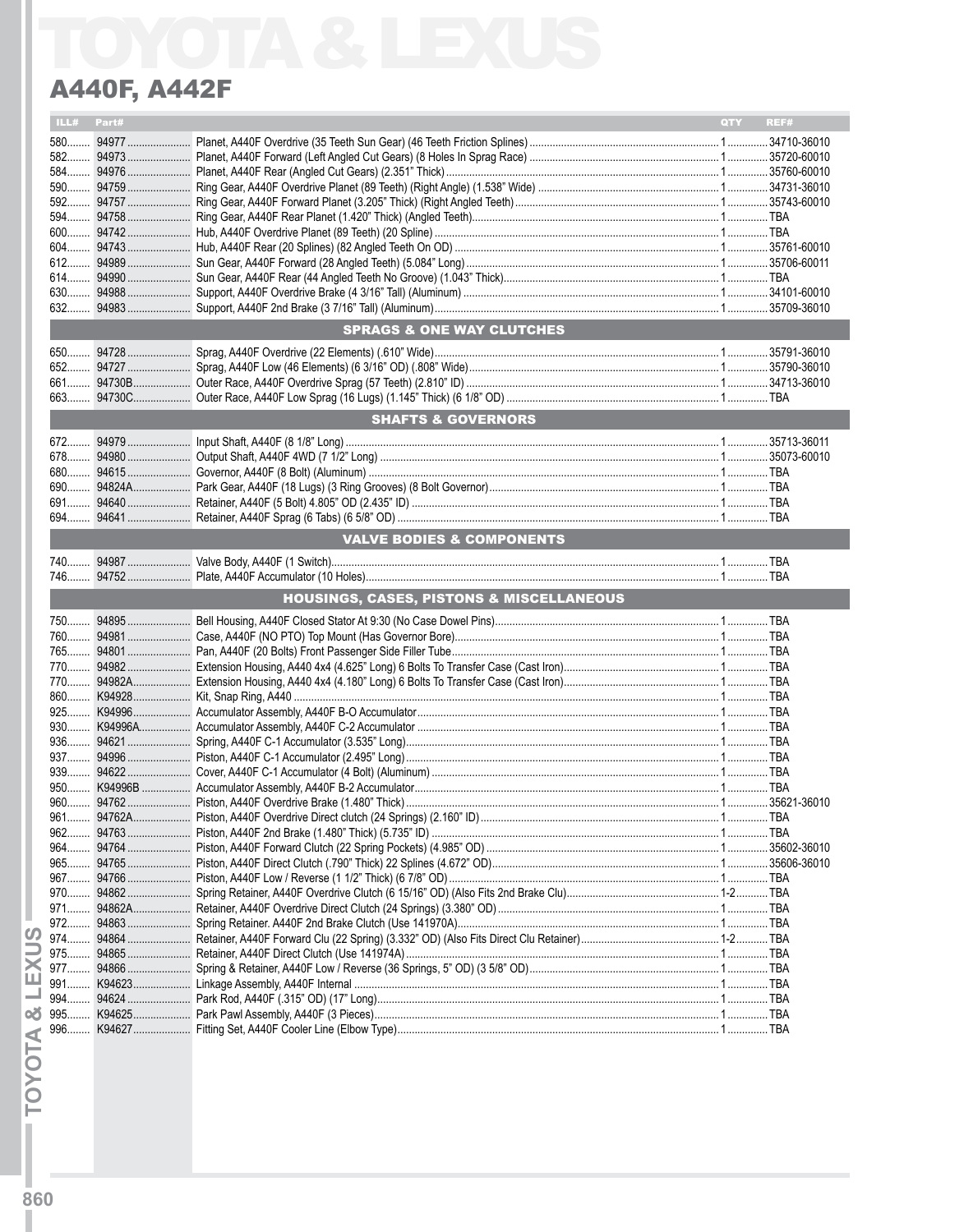|     | ILL# Part# |                                          | QTY <b>C</b> | REF# |
|-----|------------|------------------------------------------|--------------|------|
|     |            |                                          |              |      |
|     |            |                                          |              |      |
|     |            |                                          |              |      |
|     |            |                                          |              |      |
|     |            |                                          |              |      |
|     |            |                                          |              |      |
|     |            |                                          |              |      |
|     |            |                                          |              |      |
|     |            |                                          |              |      |
|     |            |                                          |              |      |
|     |            |                                          |              |      |
|     |            |                                          |              |      |
|     |            | <b>SPRAGS &amp; ONE WAY CLUTCHES</b>     |              |      |
|     |            |                                          |              |      |
|     |            |                                          |              |      |
|     |            |                                          |              |      |
|     |            |                                          |              |      |
|     |            |                                          |              |      |
|     |            | <b>SHAFTS &amp; GOVERNORS</b>            |              |      |
|     |            |                                          |              |      |
|     |            |                                          |              |      |
|     |            |                                          |              |      |
|     |            |                                          |              |      |
|     |            |                                          |              |      |
|     |            |                                          |              |      |
|     |            | <b>VALVE BODIES &amp; COMPONENTS</b>     |              |      |
|     |            |                                          |              |      |
|     |            |                                          |              |      |
|     |            |                                          |              |      |
|     |            |                                          |              |      |
|     |            | HOUSINGS, CASES, PISTONS & MISCELLANEOUS |              |      |
|     |            |                                          |              |      |
|     |            |                                          |              |      |
|     |            |                                          |              |      |
|     |            |                                          |              |      |
|     |            |                                          |              |      |
|     |            |                                          |              |      |
|     |            |                                          |              |      |
|     |            |                                          |              |      |
|     |            |                                          |              |      |
|     |            |                                          |              |      |
|     |            |                                          |              |      |
|     |            |                                          |              |      |
|     |            |                                          |              |      |
| 961 |            |                                          |              |      |
|     |            |                                          |              |      |
|     |            |                                          |              |      |
|     |            |                                          |              |      |
|     |            |                                          |              |      |
|     |            |                                          |              |      |
|     |            |                                          |              |      |
|     |            |                                          |              |      |
|     |            |                                          |              |      |
|     |            |                                          |              |      |
|     |            |                                          |              |      |
|     |            |                                          |              |      |
|     |            |                                          |              |      |
|     |            |                                          |              |      |

**TOYOTA & LEXUS**